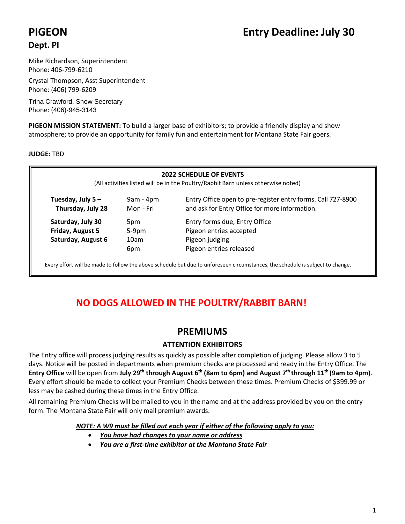# **Dept. PI**

Mike Richardson, Superintendent Phone: 406-799-6210

Crystal Thompson, Asst Superintendent Phone: (406) 799-6209

Trina Crawford, Show Secretary Phone: (406)-945-3143

**PIGEON MISSION STATEMENT:** To build a larger base of exhibitors; to provide a friendly display and show atmosphere; to provide an opportunity for family fun and entertainment for Montana State Fair goers.

# **JUDGE:** TBD

| <b>2022 SCHEDULE OF EVENTS</b><br>(All activities listed will be in the Poultry/Rabbit Barn unless otherwise noted)                                                                    |                  |                               |  |  |
|----------------------------------------------------------------------------------------------------------------------------------------------------------------------------------------|------------------|-------------------------------|--|--|
| Entry Office open to pre-register entry forms. Call 727-8900<br>Tuesday, July $5 -$<br>$9am - 4pm$<br>and ask for Entry Office for more information.<br>Thursday, July 28<br>Mon - Fri |                  |                               |  |  |
| Saturday, July 30                                                                                                                                                                      | 5pm              | Entry forms due, Entry Office |  |  |
| Friday, August 5                                                                                                                                                                       | $5-9pm$          | Pigeon entries accepted       |  |  |
| Saturday, August 6                                                                                                                                                                     | 10 <sub>am</sub> | Pigeon judging                |  |  |
|                                                                                                                                                                                        | 6pm              | Pigeon entries released       |  |  |

Every effort will be made to follow the above schedule but due to unforeseen circumstances, the schedule is subject to change.

# **NO DOGS ALLOWED IN THE POULTRY/RABBIT BARN!**

# **PREMIUMS**

# **ATTENTION EXHIBITORS**

The Entry office will process judging results as quickly as possible after completion of judging. Please allow 3 to 5 days. Notice will be posted in departments when premium checks are processed and ready in the Entry Office. The **Entry Office** will be open from **July 29th through August 6 th (8am to 6pm) and August 7 th through 11 th (9am to 4pm)**. Every effort should be made to collect your Premium Checks between these times. Premium Checks of \$399.99 or less may be cashed during these times in the Entry Office.

All remaining Premium Checks will be mailed to you in the name and at the address provided by you on the entry form. The Montana State Fair will only mail premium awards.

*NOTE: A W9 must be filled out each year if either of the following apply to you:*

- *You have had changes to your name or address*
- *You are a first-time exhibitor at the Montana State Fair*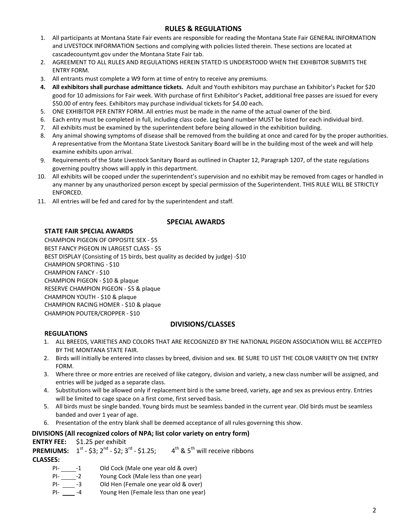# **RULES & REGULATIONS**

- 1. All participants at Montana State Fair events are responsible for reading the Montana State Fair GENERAL INFORMATION and LIVESTOCK INFORMATION Sections and complying with policies listed therein. These sections are located at cascadecountymt.gov under the Montana State Fair tab.
- 2. AGREEMENT TO ALL RULES AND REGULATIONS HEREIN STATED IS UNDERSTOOD WHEN THE EXHIBITOR SUBMITS THE ENTRY FORM.
- 3. All entrants must complete a W9 form at time of entry to receive any premiums.
- **4. All exhibitors shall purchase admittance tickets.** Adult and Youth exhibitors may purchase an Exhibitor's Packet for \$20 good for 10 admissions for Fair week. With purchase of first Exhibitor's Packet, additional free passes are issued for every \$50.00 of entry fees. Exhibitors may purchase individual tickets for \$4.00 each.
- 5. ONE EXHIBITOR PER ENTRY FORM. All entries must be made in the name of the actual owner of the bird.
- 6. Each entry must be completed in full, including class code. Leg band number MUST be listed for each individual bird.
- 7. All exhibits must be examined by the superintendent before being allowed in the exhibition building.
- 8. Any animal showing symptoms of disease shall be removed from the building at once and cared for by the proper authorities. A representative from the Montana State Livestock Sanitary Board will be in the building most of the week and will help examine exhibits upon arrival.
- 9. Requirements of the State Livestock Sanitary Board as outlined in Chapter 12, Paragraph 1207, of the state regulations governing poultry shows will apply in this department.
- 10. All exhibits will be cooped under the superintendent's supervision and no exhibit may be removed from cages or handled in any manner by any unauthorized person except by special permission of the Superintendent. THIS RULE WILL BE STRICTLY ENFORCED.
- 11. All entries will be fed and cared for by the superintendent and staff.

## **SPECIAL AWARDS**

## **STATE FAIR SPECIAL AWARDS**

CHAMPION PIGEON OF OPPOSITE SEX - \$5 BEST FANCY PIGEON IN LARGEST CLASS - \$5 BEST DISPLAY (Consisting of 15 birds, best quality as decided by judge) -\$10 CHAMPION SPORTING - \$10 CHAMPION FANCY - \$10 CHAMPION PIGEON - \$10 & plaque RESERVE CHAMPION PIGEON - \$5 & plaque CHAMPION YOUTH - \$10 & plaque CHAMPION RACING HOMER - \$10 & plaque CHAMPION POUTER/CROPPER - \$10

## **DIVISIONS/CLASSES**

## **REGULATIONS**

- 1. ALL BREEDS, VARIETIES AND COLORS THAT ARE RECOGNIZED BY THE NATIONAL PIGEON ASSOCIATION WILL BE ACCEPTED BY THE MONTANA STATE FAIR.
- 2. Birds will initially be entered into classes by breed, division and sex. BE SURE TO LIST THE COLOR VARIETY ON THE ENTRY FORM.
- 3. Where three or more entries are received of like category, division and variety, a new class number will be assigned, and entries will be judged as a separate class.
- 4. Substitutions will be allowed only if replacement bird is the same breed, variety, age and sex as previous entry. Entries will be limited to cage space on a first come, first served basis.
- 5. All birds must be single banded. Young birds must be seamless banded in the current year. Old birds must be seamless banded and over 1 year of age.
- 6. Presentation of the entry blank shall be deemed acceptance of all rules governing this show.

# **DIVISIONS (All recognized colors of NPA; list color variety on entry form)**

## **ENTRY FEE:** \$1.25 per exhibit

**PREMIUMS:**  $1^{st}$  - \$3;  $2^{nd}$  - \$2;  $3^{rd}$  - \$1.25;  $4^{th}$  & 5<sup>th</sup> will receive ribbons **CLASSES:**

- PI- \_\_\_\_\_\_-1 Old Cock (Male one year old & over)
- PI- -2 Young Cock (Male less than one year)
- PI- \_\_\_\_\_-3 Old Hen (Female one year old & over)
- PI- -4 Young Hen (Female less than one year)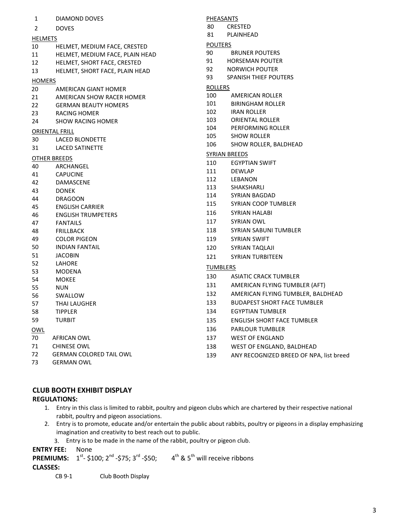| 1              | DIAMOND DOVES                   | <b>PHEASANTS</b> |                                         |
|----------------|---------------------------------|------------------|-----------------------------------------|
| $\overline{2}$ | <b>DOVES</b>                    | 80               | <b>CRESTED</b>                          |
| <b>HELMETS</b> |                                 | 81               | PLAINHEAD                               |
| 10             | HELMET, MEDIUM FACE, CRESTED    | <b>POUTERS</b>   |                                         |
| 11             | HELMET, MEDIUM FACE, PLAIN HEAD | 90               | <b>BRUNER POUTERS</b>                   |
| 12             | HELMET, SHORT FACE, CRESTED     | 91               | <b>HORSEMAN POUTER</b>                  |
| 13             | HELMET, SHORT FACE, PLAIN HEAD  | 92               | <b>NORWICH POUTER</b>                   |
|                |                                 | 93               | SPANISH THIEF POUTERS                   |
| <b>HOMERS</b>  | AMERICAN GIANT HOMER            | <b>ROLLERS</b>   |                                         |
| 20<br>21       | AMERICAN SHOW RACER HOMER       | 100              | AMERICAN ROLLER                         |
| 22             | <b>GERMAN BEAUTY HOMERS</b>     | 101              | <b>BIRINGHAM ROLLER</b>                 |
| 23             | RACING HOMER                    | 102              | <b>IRAN ROLLER</b>                      |
| 24             | <b>SHOW RACING HOMER</b>        | 103              | <b>ORIENTAL ROLLER</b>                  |
|                |                                 | 104              | PERFORMING ROLLER                       |
|                | <b>ORIENTAL FRILL</b>           | 105              | <b>SHOW ROLLER</b>                      |
| 30             | LACED BLONDETTE                 | 106              | SHOW ROLLER, BALDHEAD                   |
| 31             | <b>LACED SATINETTE</b>          |                  |                                         |
|                | <b>OTHER BREEDS</b>             |                  | <b>SYRIAN BREEDS</b>                    |
| 40             | ARCHANGEL                       | 110              | <b>EGYPTIAN SWIFT</b>                   |
| 41             | <b>CAPUCINE</b>                 | 111              | <b>DEWLAP</b>                           |
| 42             | DAMASCENE                       | 112              | LEBANON                                 |
| 43             | <b>DONEK</b>                    | 113<br>114       | SHAKSHARLI<br>SYRIAN BAGDAD             |
| 44             | <b>DRAGOON</b>                  |                  |                                         |
| 45             | <b>ENGLISH CARRIER</b>          | 115              | SYRIAN COOP TUMBLER                     |
| 46             | <b>ENGLISH TRUMPETERS</b>       | 116              | <b>SYRIAN HALABI</b>                    |
| 47             | <b>FANTAILS</b>                 | 117              | <b>SYRIAN OWL</b>                       |
| 48             | <b>FRILLBACK</b>                | 118              | SYRIAN SABUNI TUMBLER                   |
| 49             | <b>COLOR PIGEON</b>             | 119              | <b>SYRIAN SWIFT</b>                     |
| 50             | <b>INDIAN FANTAIL</b>           | 120              | SYRIAN TAQLAJI                          |
| 51             | <b>JACOBIN</b>                  | 121              | <b>SYRIAN TURBITEEN</b>                 |
| 52             | LAHORE                          | <b>TUMBLERS</b>  |                                         |
| 53             | MODENA                          | 130              | <b>ASIATIC CRACK TUMBLER</b>            |
| 54             | <b>MOKEE</b>                    | 131              | AMERICAN FLYING TUMBLER (AFT)           |
| 55             | NUN                             |                  |                                         |
| 56             | SWALLOW                         | 132              | AMERICAN FLYING TUMBLER, BALDHEAD       |
| 57             | THAI LAUGHER                    | 133              | <b>BUDAPEST SHORT FACE TUMBLER</b>      |
| 58             | <b>TIPPLER</b>                  | 134              | <b>EGYPTIAN TUMBLER</b>                 |
| 59             | <b>TURBIT</b>                   | 135              | <b>ENGLISH SHORT FACE TUMBLER</b>       |
| <b>OWL</b>     |                                 | 136              | <b>PARLOUR TUMBLER</b>                  |
| 70             | AFRICAN OWL                     | 137              | <b>WEST OF ENGLAND</b>                  |
| 71             | <b>CHINESE OWL</b>              | 138              | WEST OF ENGLAND, BALDHEAD               |
| 72             | <b>GERMAN COLORED TAIL OWL</b>  | 139              | ANY RECOGNIZED BREED OF NPA, list breed |

GERMAN OWL

# **CLUB BOOTH EXHIBIT DISPLAY**

## **REGULATIONS:**

- 1. Entry in this class is limited to rabbit, poultry and pigeon clubs which are chartered by their respective national rabbit, poultry and pigeon associations.
- 2. Entry is to promote, educate and/or entertain the public about rabbits, poultry or pigeons in a display emphasizing imagination and creativity to best reach out to public.
	- 3. Entry is to be made in the name of the rabbit, poultry or pigeon club.

**ENTRY FEE:** None

**PREMIUMS:**  $1^{st}$ - $$100; 2^{nd}$ - $$75; 3^{rd}$ - $$50;$   $4^{th}$  &  $5^{th}$  will receive ribbons

#### **CLASSES:**

CB 9-1 Club Booth Display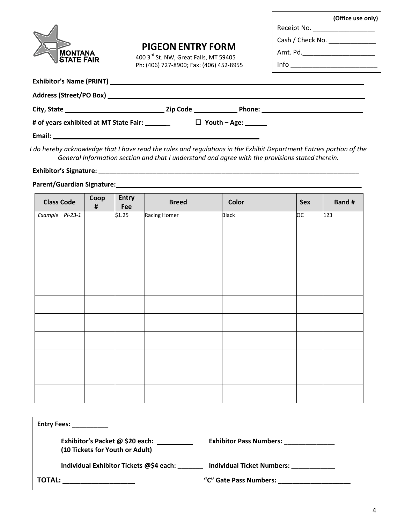| <b>MONTANA<br/>STATE FAIR</b> |
|-------------------------------|

# **PIGEON ENTRY FORM**

400 3 rd St. NW, Great Falls, MT 59405 Ph: (406) 727-8900; Fax: (406) 452-8955

|             | (Office use only) |
|-------------|-------------------|
| Receipt No. |                   |

Cash / Check No. \_\_\_\_\_\_\_\_\_\_\_\_\_\_\_

Amt. Pd.\_\_\_\_\_\_\_\_\_\_\_\_\_\_\_\_\_\_\_\_

Info \_\_\_\_\_\_\_\_\_\_\_\_\_\_\_\_\_\_\_\_\_\_\_\_

| # of years exhibited at MT State Fair: ________                                                                            | $\Box$ Youth – Age: ______ |  |
|----------------------------------------------------------------------------------------------------------------------------|----------------------------|--|
| Email:<br>and the control of the control of the control of the control of the control of the control of the control of the |                            |  |

*I do hereby acknowledge that I have read the rules and regulations in the Exhibit Department Entries portion of the General Information section and that I understand and agree with the provisions stated therein.*

#### **Exhibitor's Signature: \_\_\_\_\_\_\_\_\_\_\_\_\_\_\_\_\_\_\_\_\_\_\_\_\_\_\_\_\_\_\_\_\_\_\_\_\_\_\_\_\_\_\_\_\_\_\_\_\_\_\_\_\_\_\_\_\_\_\_\_\_\_\_\_\_\_\_\_\_\_\_\_**

## **Parent/Guardian Signature: \_\_\_\_\_\_\_\_\_\_\_\_\_\_\_\_\_\_\_\_\_\_\_\_\_\_\_\_\_\_\_\_\_\_\_\_\_\_\_\_\_\_\_\_\_\_\_\_\_\_\_\_\_\_\_\_\_\_\_\_\_\_\_\_\_\_\_\_\_\_\_\_**

| <b>Class Code</b> | Coop<br>$\pmb{\sharp}$ | Entry<br>Fee | <b>Breed</b> | Color        | Sex | <b>Band#</b> |
|-------------------|------------------------|--------------|--------------|--------------|-----|--------------|
| Example PI-23-1   |                        | \$1.25       | Racing Homer | <b>Black</b> | ОC  | 123          |
|                   |                        |              |              |              |     |              |
|                   |                        |              |              |              |     |              |
|                   |                        |              |              |              |     |              |
|                   |                        |              |              |              |     |              |
|                   |                        |              |              |              |     |              |
|                   |                        |              |              |              |     |              |
|                   |                        |              |              |              |     |              |
|                   |                        |              |              |              |     |              |
|                   |                        |              |              |              |     |              |
|                   |                        |              |              |              |     |              |

| <b>Entry Fees:</b>                                                 |                                                                                                                                                                                                                               |
|--------------------------------------------------------------------|-------------------------------------------------------------------------------------------------------------------------------------------------------------------------------------------------------------------------------|
| Exhibitor's Packet @ \$20 each:<br>(10 Tickets for Youth or Adult) | Exhibitor Pass Numbers: _____________                                                                                                                                                                                         |
| Individual Exhibitor Tickets @\$4 each:                            | <b>Individual Ticket Numbers:</b>                                                                                                                                                                                             |
| TOTAL:                                                             | "C" Gate Pass Numbers: Wallet Controllers and the Control of The Control of Control of The Control of The Control of The Control of The Control of The Control of The Control of The Control of The Control of The Control of |